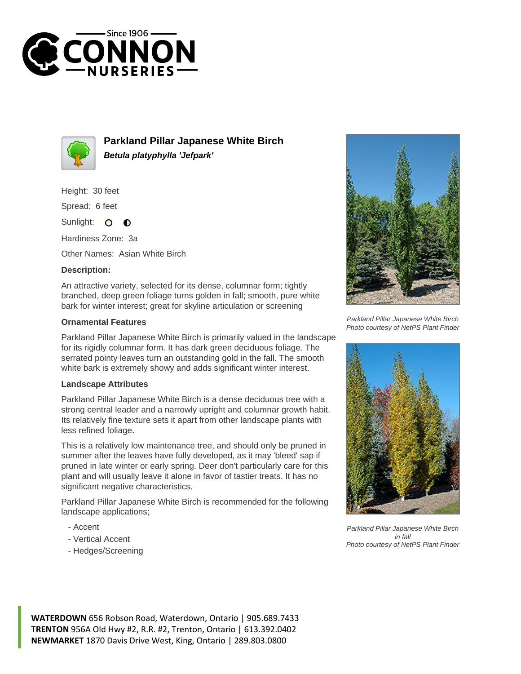



**Parkland Pillar Japanese White Birch Betula platyphylla 'Jefpark'**

Height: 30 feet

Spread: 6 feet

Sunlight: 0  $\bullet$ 

Hardiness Zone: 3a

Other Names: Asian White Birch

## **Description:**

An attractive variety, selected for its dense, columnar form; tightly branched, deep green foliage turns golden in fall; smooth, pure white bark for winter interest; great for skyline articulation or screening

## **Ornamental Features**

Parkland Pillar Japanese White Birch is primarily valued in the landscape for its rigidly columnar form. It has dark green deciduous foliage. The serrated pointy leaves turn an outstanding gold in the fall. The smooth white bark is extremely showy and adds significant winter interest.

## **Landscape Attributes**

Parkland Pillar Japanese White Birch is a dense deciduous tree with a strong central leader and a narrowly upright and columnar growth habit. Its relatively fine texture sets it apart from other landscape plants with less refined foliage.

This is a relatively low maintenance tree, and should only be pruned in summer after the leaves have fully developed, as it may 'bleed' sap if pruned in late winter or early spring. Deer don't particularly care for this plant and will usually leave it alone in favor of tastier treats. It has no significant negative characteristics.

Parkland Pillar Japanese White Birch is recommended for the following landscape applications;

- Accent
- Vertical Accent
- Hedges/Screening



Parkland Pillar Japanese White Birch Photo courtesy of NetPS Plant Finder



Parkland Pillar Japanese White Birch in fall Photo courtesy of NetPS Plant Finder

**WATERDOWN** 656 Robson Road, Waterdown, Ontario | 905.689.7433 **TRENTON** 956A Old Hwy #2, R.R. #2, Trenton, Ontario | 613.392.0402 **NEWMARKET** 1870 Davis Drive West, King, Ontario | 289.803.0800